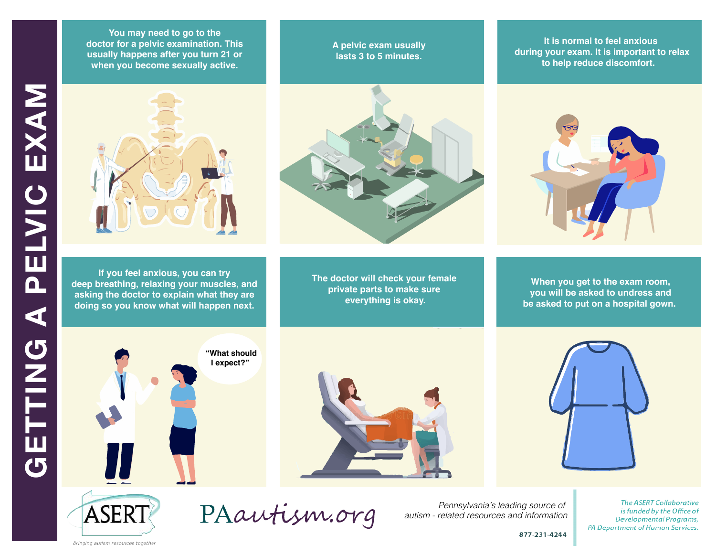**You may need to go to the doctor for a pelvic examination. This usually happens after you turn 21 or when you become sexually active.** 



**If you feel anxious, you can try deep breathing, relaxing your muscles, and asking the doctor to explain what they are doing so you know what will happen next.** 



**A pelvic exam usually lasts 3 to 5 minutes.** 

**The doctor will check your female private parts to make sure everything is okay.**

**It is normal to feel anxious during your exam. It is important to relax to help reduce discomfort.** 



**National Parks When you get to the exam room, for individuals will be asked to undress and information about the access pass be asked to put on a hospital gown.** 



PELVIC EXAM









PAautism.org

*Pennsylvania's leading source of autism - related resources and information*

**The ASERT Collaborative** is funded by the Office of Developmental Programs, PA Department of Human Services.

877-231-4244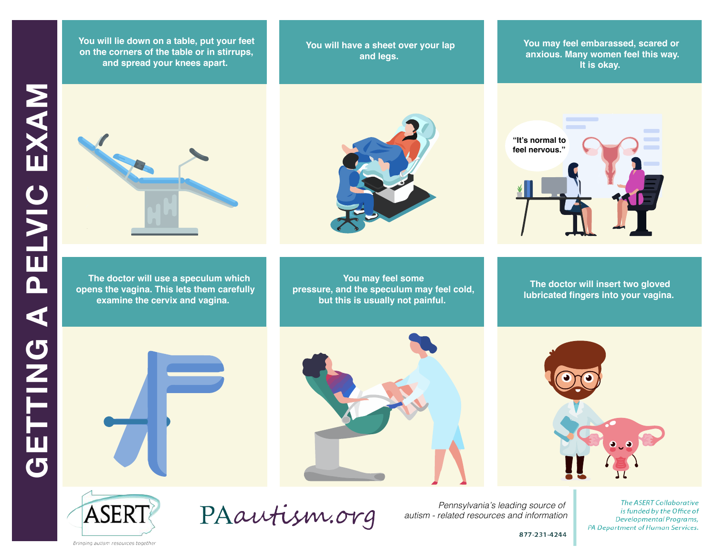**At the park there are rules to follow. There may be places in the park I am on the corners of the table or in stirrups, DIT ALC COTTETS OF ALC LADE OF THE SAFETY.** and spread your knees apart. **You will lie down on a table, put your feet**

You will have a sheet over your lap **about what legs. about what**  $\mathbf{z}$ 

**You may feel embarassed, scared or anxious. Many women feel this way. It is okay.** 



 **The doctor will use a speculum which opens the vagina. This lets them carefully examine the cervix and vagina.** 



**You may feel some pressure, and the speculum may feel cold, but this is usually not painful.** 



**The doctor will insert two gloved lubricated fingers into your vagina.** 









PAautism.org

*Pennsylvania's leading source of autism - related resources and information*

**The ASERT Collaborative** is funded by the Office of Developmental Programs, PA Department of Human Services.

877-231-4244